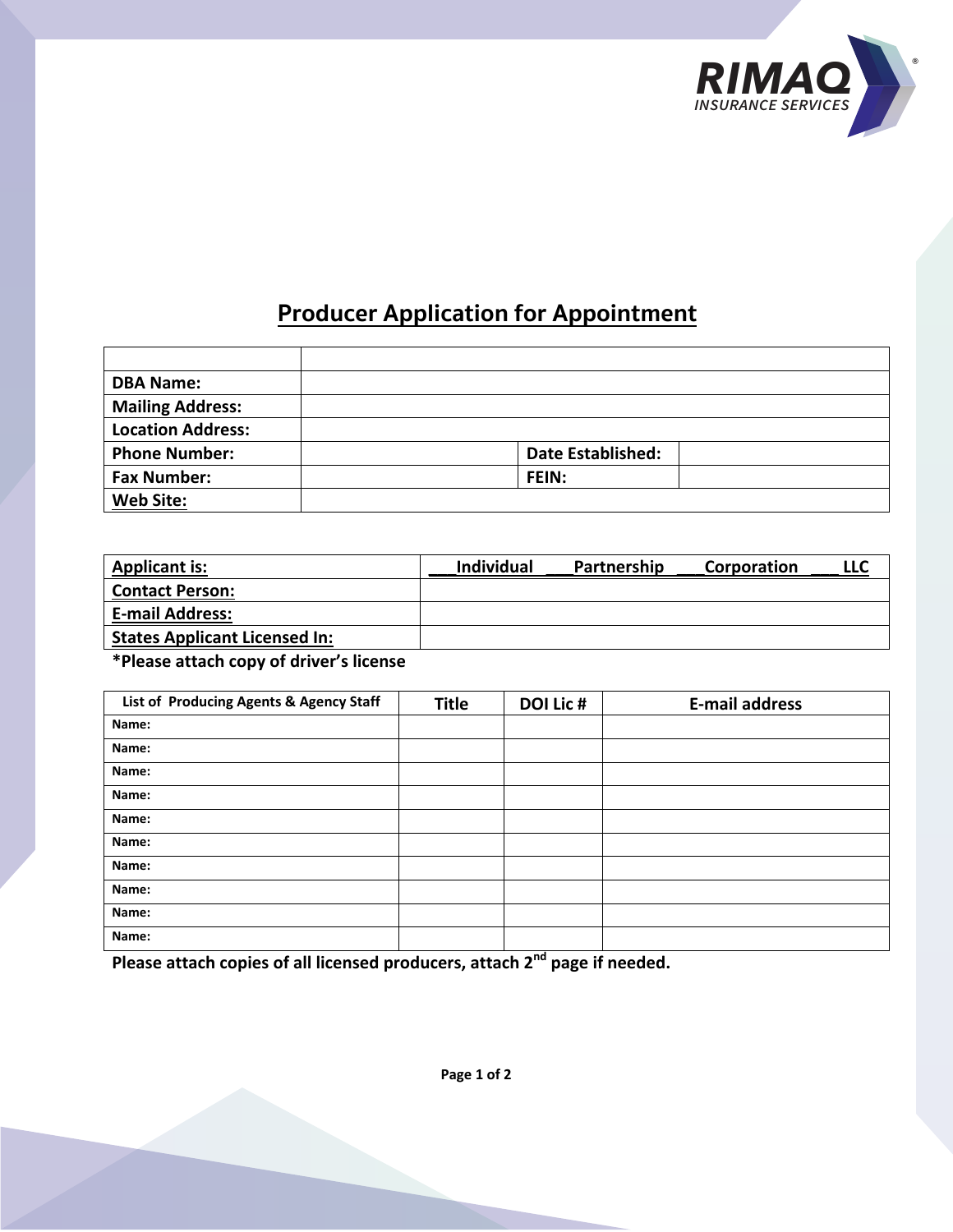

## **Producer Application for Appointment**

| <b>DBA Name:</b>         |                          |  |
|--------------------------|--------------------------|--|
| <b>Mailing Address:</b>  |                          |  |
| <b>Location Address:</b> |                          |  |
| <b>Phone Number:</b>     | <b>Date Established:</b> |  |
| <b>Fax Number:</b>       | FEIN:                    |  |
| <b>Web Site:</b>         |                          |  |

| <b>Applicant is:</b>                 | Individual | Partnership | Corporation | LLC |
|--------------------------------------|------------|-------------|-------------|-----|
| <b>Contact Person:</b>               |            |             |             |     |
| <b>E-mail Address:</b>               |            |             |             |     |
| <b>States Applicant Licensed In:</b> |            |             |             |     |

**\*Please attach copy of driver's license**

| List of Producing Agents & Agency Staff | <b>Title</b> | DOI Lic # | <b>E-mail address</b> |
|-----------------------------------------|--------------|-----------|-----------------------|
| Name:                                   |              |           |                       |
| Name:                                   |              |           |                       |
| Name:                                   |              |           |                       |
| Name:                                   |              |           |                       |
| Name:                                   |              |           |                       |
| Name:                                   |              |           |                       |
| Name:                                   |              |           |                       |
| Name:                                   |              |           |                       |
| Name:                                   |              |           |                       |
| Name:                                   |              |           |                       |

**Please attach copies of all licensed producers, attach 2nd page if needed.** 

**Page 1 of 2**